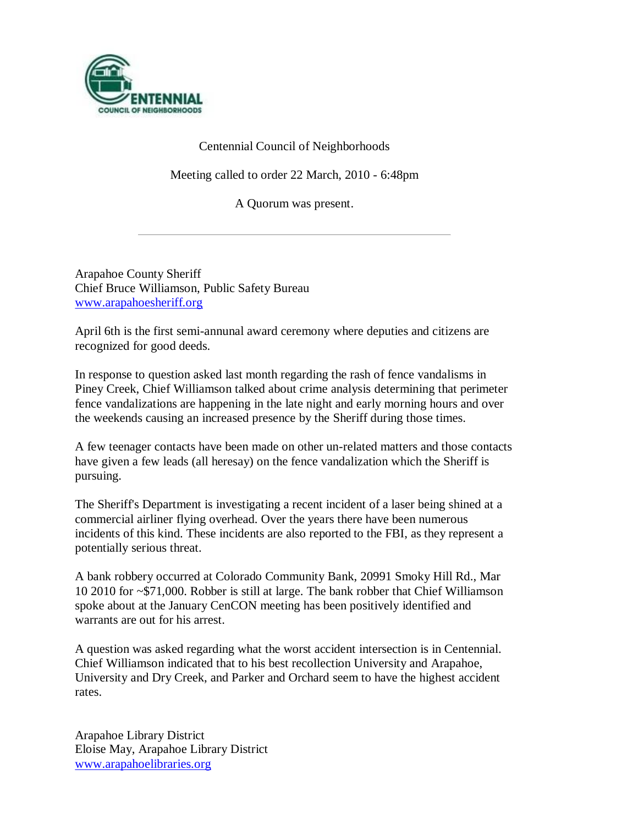

# Centennial Council of Neighborhoods

Meeting called to order 22 March, 2010 - 6:48pm

A Quorum was present.

Arapahoe County Sheriff Chief Bruce Williamson, Public Safety Bureau [www.arapahoesheriff.org](http://www.arapahoesheriff.org/)

April 6th is the first semi-annunal award ceremony where deputies and citizens are recognized for good deeds.

In response to question asked last month regarding the rash of fence vandalisms in Piney Creek, Chief Williamson talked about crime analysis determining that perimeter fence vandalizations are happening in the late night and early morning hours and over the weekends causing an increased presence by the Sheriff during those times.

A few teenager contacts have been made on other un-related matters and those contacts have given a few leads (all heresay) on the fence vandalization which the Sheriff is pursuing.

The Sheriff's Department is investigating a recent incident of a laser being shined at a commercial airliner flying overhead. Over the years there have been numerous incidents of this kind. These incidents are also reported to the FBI, as they represent a potentially serious threat.

A bank robbery occurred at Colorado Community Bank, 20991 Smoky Hill Rd., Mar 10 2010 for ~\$71,000. Robber is still at large. The bank robber that Chief Williamson spoke about at the January CenCON meeting has been positively identified and warrants are out for his arrest.

A question was asked regarding what the worst accident intersection is in Centennial. Chief Williamson indicated that to his best recollection University and Arapahoe, University and Dry Creek, and Parker and Orchard seem to have the highest accident rates.

Arapahoe Library District Eloise May, Arapahoe Library District [www.arapahoelibraries.org](http://www.arapahoelibraries.org/)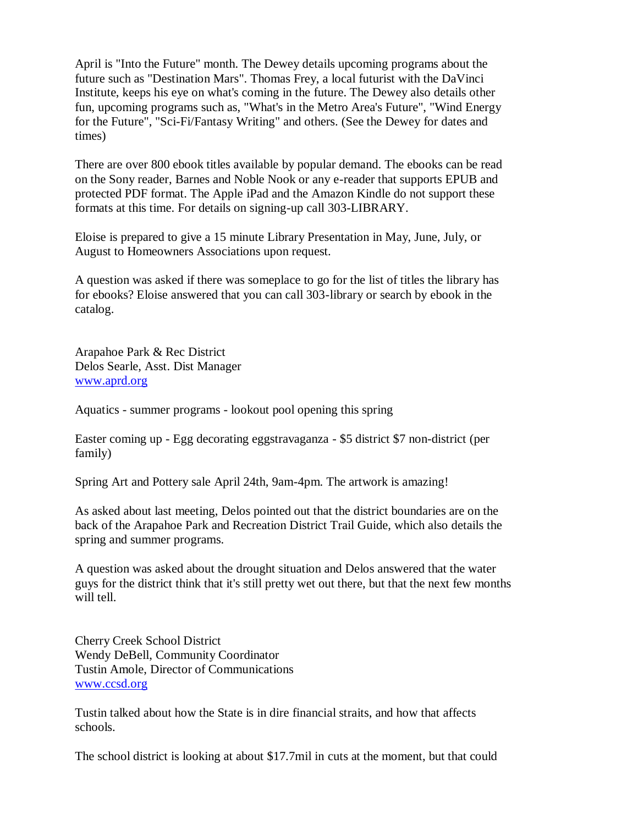April is "Into the Future" month. The Dewey details upcoming programs about the future such as "Destination Mars". Thomas Frey, a local futurist with the DaVinci Institute, keeps his eye on what's coming in the future. The Dewey also details other fun, upcoming programs such as, "What's in the Metro Area's Future", "Wind Energy for the Future", "Sci-Fi/Fantasy Writing" and others. (See the Dewey for dates and times)

There are over 800 ebook titles available by popular demand. The ebooks can be read on the Sony reader, Barnes and Noble Nook or any e-reader that supports EPUB and protected PDF format. The Apple iPad and the Amazon Kindle do not support these formats at this time. For details on signing-up call 303-LIBRARY.

Eloise is prepared to give a 15 minute Library Presentation in May, June, July, or August to Homeowners Associations upon request.

A question was asked if there was someplace to go for the list of titles the library has for ebooks? Eloise answered that you can call 303-library or search by ebook in the catalog.

Arapahoe Park & Rec District Delos Searle, Asst. Dist Manager [www.aprd.org](http://www.aprd.org/)

Aquatics - summer programs - lookout pool opening this spring

Easter coming up - Egg decorating eggstravaganza - \$5 district \$7 non-district (per family)

Spring Art and Pottery sale April 24th, 9am-4pm. The artwork is amazing!

As asked about last meeting, Delos pointed out that the district boundaries are on the back of the Arapahoe Park and Recreation District Trail Guide, which also details the spring and summer programs.

A question was asked about the drought situation and Delos answered that the water guys for the district think that it's still pretty wet out there, but that the next few months will tell.

Cherry Creek School District Wendy DeBell, Community Coordinator Tustin Amole, Director of Communications [www.ccsd.org](http://www.ccsd.org/)

Tustin talked about how the State is in dire financial straits, and how that affects schools.

The school district is looking at about \$17.7mil in cuts at the moment, but that could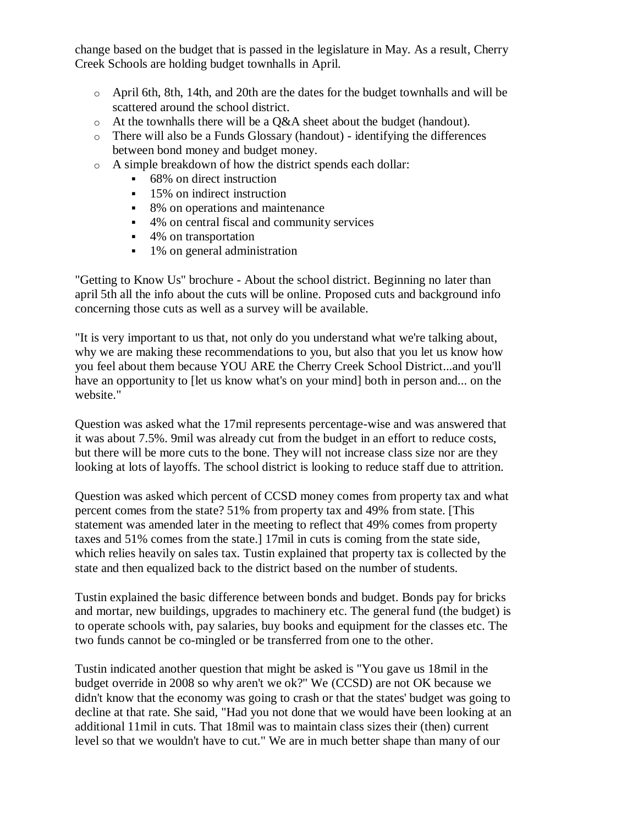change based on the budget that is passed in the legislature in May. As a result, Cherry Creek Schools are holding budget townhalls in April.

- o April 6th, 8th, 14th, and 20th are the dates for the budget townhalls and will be scattered around the school district.
- $\circ$  At the townhalls there will be a Q&A sheet about the budget (handout).
- o There will also be a Funds Glossary (handout) identifying the differences between bond money and budget money.
- o A simple breakdown of how the district spends each dollar:
	- 68% on direct instruction
	- **15%** on indirect instruction
	- 8% on operations and maintenance
	- 4% on central fiscal and community services
	- 4% on transportation
	- <sup>1</sup> 1% on general administration

"Getting to Know Us" brochure - About the school district. Beginning no later than april 5th all the info about the cuts will be online. Proposed cuts and background info concerning those cuts as well as a survey will be available.

"It is very important to us that, not only do you understand what we're talking about, why we are making these recommendations to you, but also that you let us know how you feel about them because YOU ARE the Cherry Creek School District...and you'll have an opportunity to [let us know what's on your mind] both in person and... on the website."

Question was asked what the 17mil represents percentage-wise and was answered that it was about 7.5%. 9mil was already cut from the budget in an effort to reduce costs, but there will be more cuts to the bone. They will not increase class size nor are they looking at lots of layoffs. The school district is looking to reduce staff due to attrition.

Question was asked which percent of CCSD money comes from property tax and what percent comes from the state? 51% from property tax and 49% from state. [This statement was amended later in the meeting to reflect that 49% comes from property taxes and 51% comes from the state.] 17mil in cuts is coming from the state side, which relies heavily on sales tax. Tustin explained that property tax is collected by the state and then equalized back to the district based on the number of students.

Tustin explained the basic difference between bonds and budget. Bonds pay for bricks and mortar, new buildings, upgrades to machinery etc. The general fund (the budget) is to operate schools with, pay salaries, buy books and equipment for the classes etc. The two funds cannot be co-mingled or be transferred from one to the other.

Tustin indicated another question that might be asked is "You gave us 18mil in the budget override in 2008 so why aren't we ok?" We (CCSD) are not OK because we didn't know that the economy was going to crash or that the states' budget was going to decline at that rate. She said, "Had you not done that we would have been looking at an additional 11mil in cuts. That 18mil was to maintain class sizes their (then) current level so that we wouldn't have to cut." We are in much better shape than many of our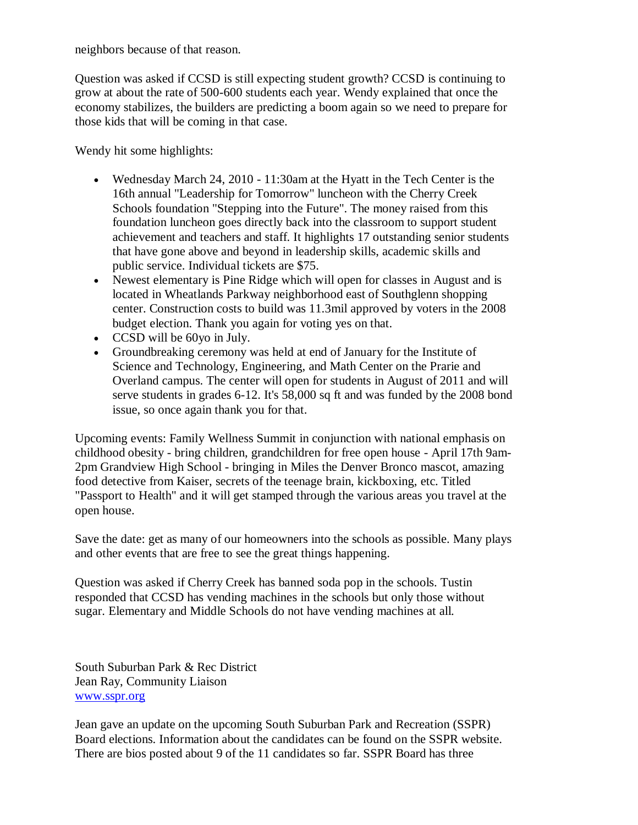neighbors because of that reason.

Question was asked if CCSD is still expecting student growth? CCSD is continuing to grow at about the rate of 500-600 students each year. Wendy explained that once the economy stabilizes, the builders are predicting a boom again so we need to prepare for those kids that will be coming in that case.

Wendy hit some highlights:

- Wednesday March 24, 2010 11:30am at the Hyatt in the Tech Center is the 16th annual "Leadership for Tomorrow" luncheon with the Cherry Creek Schools foundation "Stepping into the Future". The money raised from this foundation luncheon goes directly back into the classroom to support student achievement and teachers and staff. It highlights 17 outstanding senior students that have gone above and beyond in leadership skills, academic skills and public service. Individual tickets are \$75.
- Newest elementary is Pine Ridge which will open for classes in August and is located in Wheatlands Parkway neighborhood east of Southglenn shopping center. Construction costs to build was 11.3mil approved by voters in the 2008 budget election. Thank you again for voting yes on that.
- CCSD will be 60yo in July.
- Groundbreaking ceremony was held at end of January for the Institute of Science and Technology, Engineering, and Math Center on the Prarie and Overland campus. The center will open for students in August of 2011 and will serve students in grades 6-12. It's 58,000 sq ft and was funded by the 2008 bond issue, so once again thank you for that.

Upcoming events: Family Wellness Summit in conjunction with national emphasis on childhood obesity - bring children, grandchildren for free open house - April 17th 9am-2pm Grandview High School - bringing in Miles the Denver Bronco mascot, amazing food detective from Kaiser, secrets of the teenage brain, kickboxing, etc. Titled "Passport to Health" and it will get stamped through the various areas you travel at the open house.

Save the date: get as many of our homeowners into the schools as possible. Many plays and other events that are free to see the great things happening.

Question was asked if Cherry Creek has banned soda pop in the schools. Tustin responded that CCSD has vending machines in the schools but only those without sugar. Elementary and Middle Schools do not have vending machines at all.

South Suburban Park & Rec District Jean Ray, Community Liaison [www.sspr.org](http://www.sspr.org/)

Jean gave an update on the upcoming South Suburban Park and Recreation (SSPR) Board elections. Information about the candidates can be found on the SSPR website. There are bios posted about 9 of the 11 candidates so far. SSPR Board has three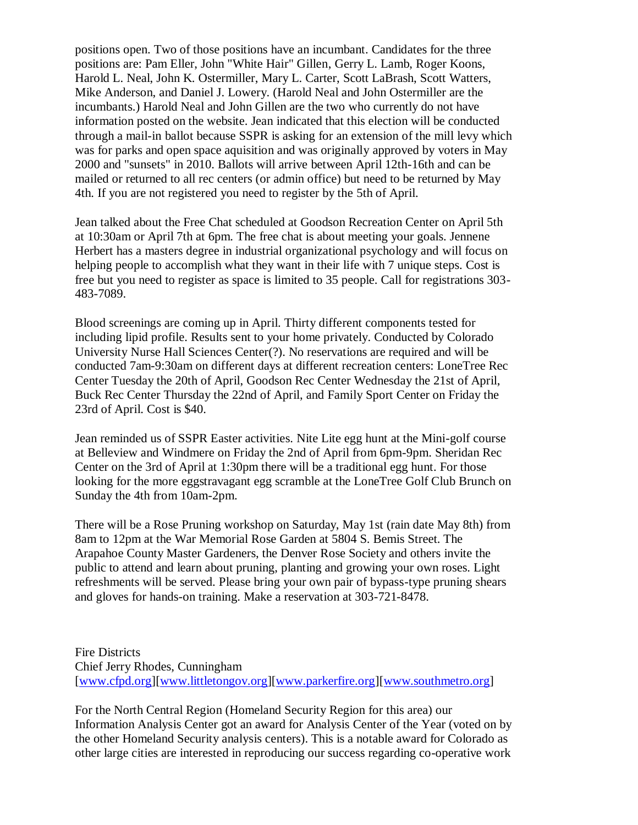positions open. Two of those positions have an incumbant. Candidates for the three positions are: Pam Eller, John "White Hair" Gillen, Gerry L. Lamb, Roger Koons, Harold L. Neal, John K. Ostermiller, Mary L. Carter, Scott LaBrash, Scott Watters, Mike Anderson, and Daniel J. Lowery. (Harold Neal and John Ostermiller are the incumbants.) Harold Neal and John Gillen are the two who currently do not have information posted on the website. Jean indicated that this election will be conducted through a mail-in ballot because SSPR is asking for an extension of the mill levy which was for parks and open space aquisition and was originally approved by voters in May 2000 and "sunsets" in 2010. Ballots will arrive between April 12th-16th and can be mailed or returned to all rec centers (or admin office) but need to be returned by May 4th. If you are not registered you need to register by the 5th of April.

Jean talked about the Free Chat scheduled at Goodson Recreation Center on April 5th at 10:30am or April 7th at 6pm. The free chat is about meeting your goals. Jennene Herbert has a masters degree in industrial organizational psychology and will focus on helping people to accomplish what they want in their life with 7 unique steps. Cost is free but you need to register as space is limited to 35 people. Call for registrations 303- 483-7089.

Blood screenings are coming up in April. Thirty different components tested for including lipid profile. Results sent to your home privately. Conducted by Colorado University Nurse Hall Sciences Center(?). No reservations are required and will be conducted 7am-9:30am on different days at different recreation centers: LoneTree Rec Center Tuesday the 20th of April, Goodson Rec Center Wednesday the 21st of April, Buck Rec Center Thursday the 22nd of April, and Family Sport Center on Friday the 23rd of April. Cost is \$40.

Jean reminded us of SSPR Easter activities. Nite Lite egg hunt at the Mini-golf course at Belleview and Windmere on Friday the 2nd of April from 6pm-9pm. Sheridan Rec Center on the 3rd of April at 1:30pm there will be a traditional egg hunt. For those looking for the more eggstravagant egg scramble at the LoneTree Golf Club Brunch on Sunday the 4th from 10am-2pm.

There will be a Rose Pruning workshop on Saturday, May 1st (rain date May 8th) from 8am to 12pm at the War Memorial Rose Garden at 5804 S. Bemis Street. The Arapahoe County Master Gardeners, the Denver Rose Society and others invite the public to attend and learn about pruning, planting and growing your own roses. Light refreshments will be served. Please bring your own pair of bypass-type pruning shears and gloves for hands-on training. Make a reservation at 303-721-8478.

Fire Districts Chief Jerry Rhodes, Cunningham [\[www.cfpd.org\]](http://www.cfpd.org/)[\[www.littletongov.org\]](http://www.littletongov.org/)[\[www.parkerfire.org\]](http://www.parkerfire.org/)[\[www.southmetro.org\]](http://www.southmetro.org/)

For the North Central Region (Homeland Security Region for this area) our Information Analysis Center got an award for Analysis Center of the Year (voted on by the other Homeland Security analysis centers). This is a notable award for Colorado as other large cities are interested in reproducing our success regarding co-operative work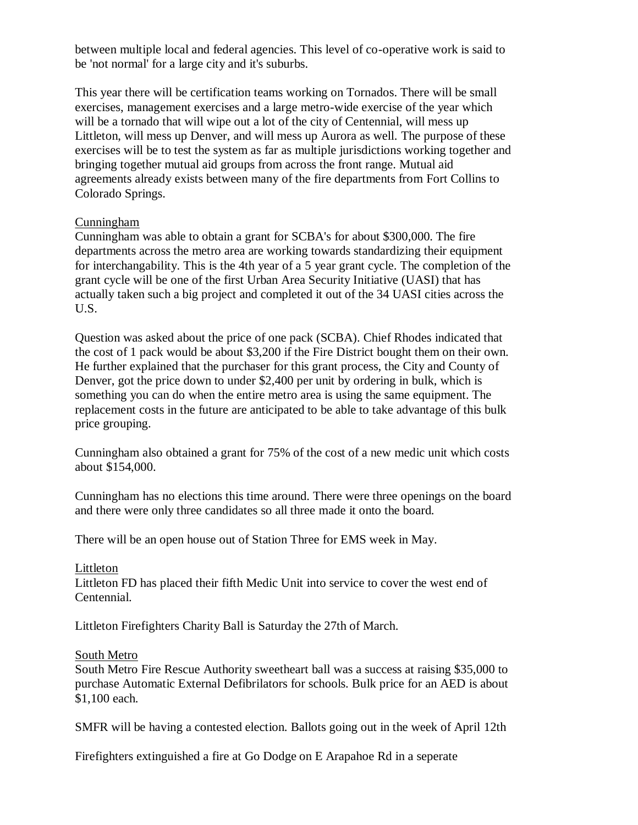between multiple local and federal agencies. This level of co-operative work is said to be 'not normal' for a large city and it's suburbs.

This year there will be certification teams working on Tornados. There will be small exercises, management exercises and a large metro-wide exercise of the year which will be a tornado that will wipe out a lot of the city of Centennial, will mess up Littleton, will mess up Denver, and will mess up Aurora as well. The purpose of these exercises will be to test the system as far as multiple jurisdictions working together and bringing together mutual aid groups from across the front range. Mutual aid agreements already exists between many of the fire departments from Fort Collins to Colorado Springs.

## Cunningham

Cunningham was able to obtain a grant for SCBA's for about \$300,000. The fire departments across the metro area are working towards standardizing their equipment for interchangability. This is the 4th year of a 5 year grant cycle. The completion of the grant cycle will be one of the first Urban Area Security Initiative (UASI) that has actually taken such a big project and completed it out of the 34 UASI cities across the U.S.

Question was asked about the price of one pack (SCBA). Chief Rhodes indicated that the cost of 1 pack would be about \$3,200 if the Fire District bought them on their own. He further explained that the purchaser for this grant process, the City and County of Denver, got the price down to under \$2,400 per unit by ordering in bulk, which is something you can do when the entire metro area is using the same equipment. The replacement costs in the future are anticipated to be able to take advantage of this bulk price grouping.

Cunningham also obtained a grant for 75% of the cost of a new medic unit which costs about \$154,000.

Cunningham has no elections this time around. There were three openings on the board and there were only three candidates so all three made it onto the board.

There will be an open house out of Station Three for EMS week in May.

## Littleton

Littleton FD has placed their fifth Medic Unit into service to cover the west end of Centennial.

Littleton Firefighters Charity Ball is Saturday the 27th of March.

## South Metro

South Metro Fire Rescue Authority sweetheart ball was a success at raising \$35,000 to purchase Automatic External Defibrilators for schools. Bulk price for an AED is about \$1,100 each.

SMFR will be having a contested election. Ballots going out in the week of April 12th

Firefighters extinguished a fire at Go Dodge on E Arapahoe Rd in a seperate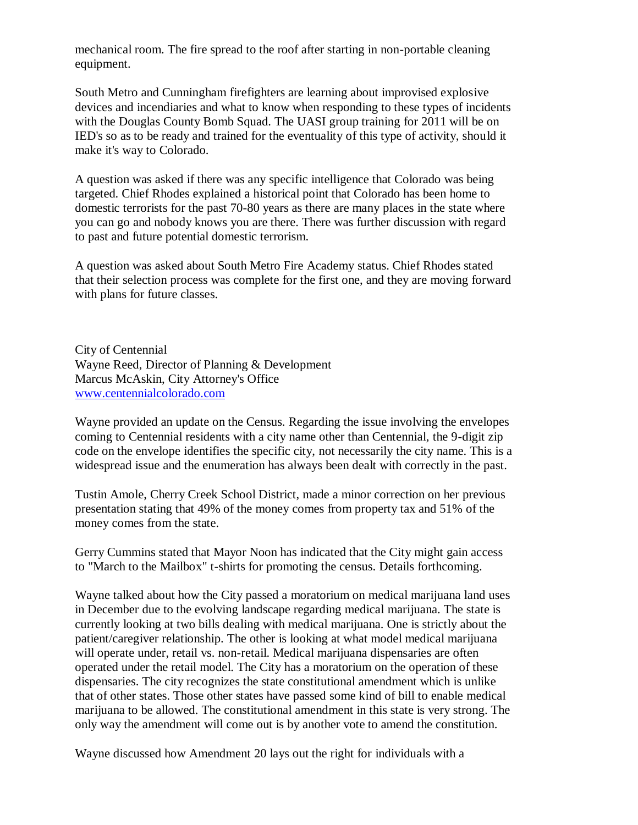mechanical room. The fire spread to the roof after starting in non-portable cleaning equipment.

South Metro and Cunningham firefighters are learning about improvised explosive devices and incendiaries and what to know when responding to these types of incidents with the Douglas County Bomb Squad. The UASI group training for 2011 will be on IED's so as to be ready and trained for the eventuality of this type of activity, should it make it's way to Colorado.

A question was asked if there was any specific intelligence that Colorado was being targeted. Chief Rhodes explained a historical point that Colorado has been home to domestic terrorists for the past 70-80 years as there are many places in the state where you can go and nobody knows you are there. There was further discussion with regard to past and future potential domestic terrorism.

A question was asked about South Metro Fire Academy status. Chief Rhodes stated that their selection process was complete for the first one, and they are moving forward with plans for future classes.

City of Centennial Wayne Reed, Director of Planning & Development Marcus McAskin, City Attorney's Office [www.centennialcolorado.com](http://www.centennialcolorado.com/)

Wayne provided an update on the Census. Regarding the issue involving the envelopes coming to Centennial residents with a city name other than Centennial, the 9-digit zip code on the envelope identifies the specific city, not necessarily the city name. This is a widespread issue and the enumeration has always been dealt with correctly in the past.

Tustin Amole, Cherry Creek School District, made a minor correction on her previous presentation stating that 49% of the money comes from property tax and 51% of the money comes from the state.

Gerry Cummins stated that Mayor Noon has indicated that the City might gain access to "March to the Mailbox" t-shirts for promoting the census. Details forthcoming.

Wayne talked about how the City passed a moratorium on medical marijuana land uses in December due to the evolving landscape regarding medical marijuana. The state is currently looking at two bills dealing with medical marijuana. One is strictly about the patient/caregiver relationship. The other is looking at what model medical marijuana will operate under, retail vs. non-retail. Medical marijuana dispensaries are often operated under the retail model. The City has a moratorium on the operation of these dispensaries. The city recognizes the state constitutional amendment which is unlike that of other states. Those other states have passed some kind of bill to enable medical marijuana to be allowed. The constitutional amendment in this state is very strong. The only way the amendment will come out is by another vote to amend the constitution.

Wayne discussed how Amendment 20 lays out the right for individuals with a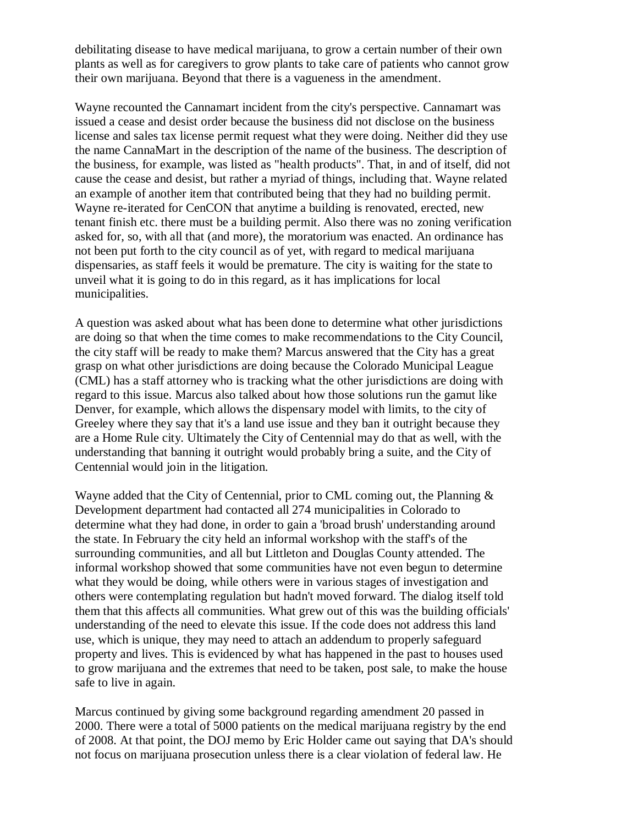debilitating disease to have medical marijuana, to grow a certain number of their own plants as well as for caregivers to grow plants to take care of patients who cannot grow their own marijuana. Beyond that there is a vagueness in the amendment.

Wayne recounted the Cannamart incident from the city's perspective. Cannamart was issued a cease and desist order because the business did not disclose on the business license and sales tax license permit request what they were doing. Neither did they use the name CannaMart in the description of the name of the business. The description of the business, for example, was listed as "health products". That, in and of itself, did not cause the cease and desist, but rather a myriad of things, including that. Wayne related an example of another item that contributed being that they had no building permit. Wayne re-iterated for CenCON that anytime a building is renovated, erected, new tenant finish etc. there must be a building permit. Also there was no zoning verification asked for, so, with all that (and more), the moratorium was enacted. An ordinance has not been put forth to the city council as of yet, with regard to medical marijuana dispensaries, as staff feels it would be premature. The city is waiting for the state to unveil what it is going to do in this regard, as it has implications for local municipalities.

A question was asked about what has been done to determine what other jurisdictions are doing so that when the time comes to make recommendations to the City Council, the city staff will be ready to make them? Marcus answered that the City has a great grasp on what other jurisdictions are doing because the Colorado Municipal League (CML) has a staff attorney who is tracking what the other jurisdictions are doing with regard to this issue. Marcus also talked about how those solutions run the gamut like Denver, for example, which allows the dispensary model with limits, to the city of Greeley where they say that it's a land use issue and they ban it outright because they are a Home Rule city. Ultimately the City of Centennial may do that as well, with the understanding that banning it outright would probably bring a suite, and the City of Centennial would join in the litigation.

Wayne added that the City of Centennial, prior to CML coming out, the Planning  $\&$ Development department had contacted all 274 municipalities in Colorado to determine what they had done, in order to gain a 'broad brush' understanding around the state. In February the city held an informal workshop with the staff's of the surrounding communities, and all but Littleton and Douglas County attended. The informal workshop showed that some communities have not even begun to determine what they would be doing, while others were in various stages of investigation and others were contemplating regulation but hadn't moved forward. The dialog itself told them that this affects all communities. What grew out of this was the building officials' understanding of the need to elevate this issue. If the code does not address this land use, which is unique, they may need to attach an addendum to properly safeguard property and lives. This is evidenced by what has happened in the past to houses used to grow marijuana and the extremes that need to be taken, post sale, to make the house safe to live in again.

Marcus continued by giving some background regarding amendment 20 passed in 2000. There were a total of 5000 patients on the medical marijuana registry by the end of 2008. At that point, the DOJ memo by Eric Holder came out saying that DA's should not focus on marijuana prosecution unless there is a clear violation of federal law. He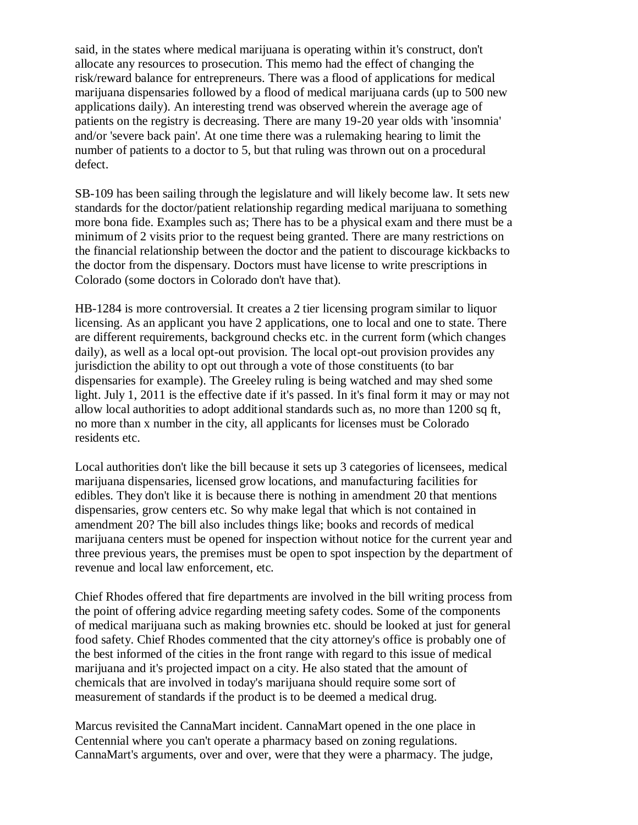said, in the states where medical marijuana is operating within it's construct, don't allocate any resources to prosecution. This memo had the effect of changing the risk/reward balance for entrepreneurs. There was a flood of applications for medical marijuana dispensaries followed by a flood of medical marijuana cards (up to 500 new applications daily). An interesting trend was observed wherein the average age of patients on the registry is decreasing. There are many 19-20 year olds with 'insomnia' and/or 'severe back pain'. At one time there was a rulemaking hearing to limit the number of patients to a doctor to 5, but that ruling was thrown out on a procedural defect.

SB-109 has been sailing through the legislature and will likely become law. It sets new standards for the doctor/patient relationship regarding medical marijuana to something more bona fide. Examples such as; There has to be a physical exam and there must be a minimum of 2 visits prior to the request being granted. There are many restrictions on the financial relationship between the doctor and the patient to discourage kickbacks to the doctor from the dispensary. Doctors must have license to write prescriptions in Colorado (some doctors in Colorado don't have that).

HB-1284 is more controversial. It creates a 2 tier licensing program similar to liquor licensing. As an applicant you have 2 applications, one to local and one to state. There are different requirements, background checks etc. in the current form (which changes daily), as well as a local opt-out provision. The local opt-out provision provides any jurisdiction the ability to opt out through a vote of those constituents (to bar dispensaries for example). The Greeley ruling is being watched and may shed some light. July 1, 2011 is the effective date if it's passed. In it's final form it may or may not allow local authorities to adopt additional standards such as, no more than 1200 sq ft, no more than x number in the city, all applicants for licenses must be Colorado residents etc.

Local authorities don't like the bill because it sets up 3 categories of licensees, medical marijuana dispensaries, licensed grow locations, and manufacturing facilities for edibles. They don't like it is because there is nothing in amendment 20 that mentions dispensaries, grow centers etc. So why make legal that which is not contained in amendment 20? The bill also includes things like; books and records of medical marijuana centers must be opened for inspection without notice for the current year and three previous years, the premises must be open to spot inspection by the department of revenue and local law enforcement, etc.

Chief Rhodes offered that fire departments are involved in the bill writing process from the point of offering advice regarding meeting safety codes. Some of the components of medical marijuana such as making brownies etc. should be looked at just for general food safety. Chief Rhodes commented that the city attorney's office is probably one of the best informed of the cities in the front range with regard to this issue of medical marijuana and it's projected impact on a city. He also stated that the amount of chemicals that are involved in today's marijuana should require some sort of measurement of standards if the product is to be deemed a medical drug.

Marcus revisited the CannaMart incident. CannaMart opened in the one place in Centennial where you can't operate a pharmacy based on zoning regulations. CannaMart's arguments, over and over, were that they were a pharmacy. The judge,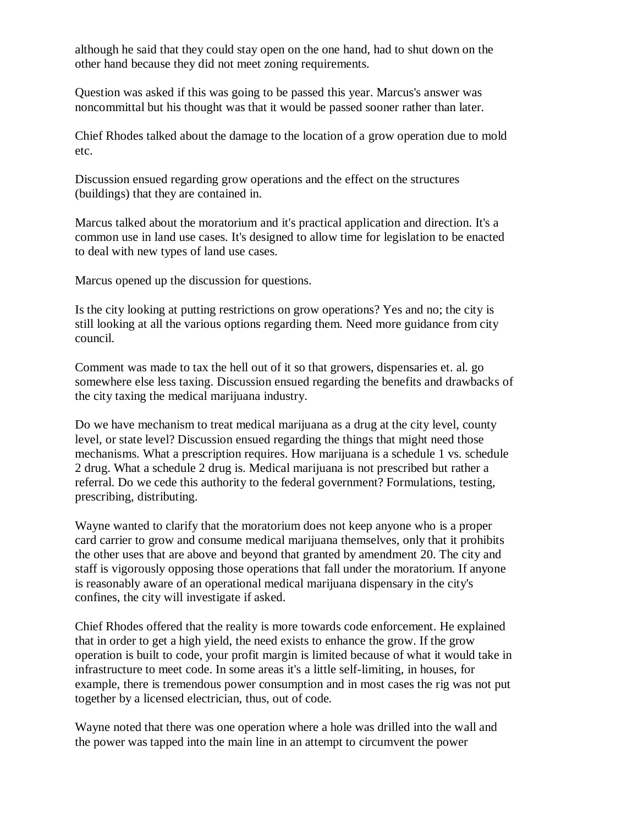although he said that they could stay open on the one hand, had to shut down on the other hand because they did not meet zoning requirements.

Question was asked if this was going to be passed this year. Marcus's answer was noncommittal but his thought was that it would be passed sooner rather than later.

Chief Rhodes talked about the damage to the location of a grow operation due to mold etc.

Discussion ensued regarding grow operations and the effect on the structures (buildings) that they are contained in.

Marcus talked about the moratorium and it's practical application and direction. It's a common use in land use cases. It's designed to allow time for legislation to be enacted to deal with new types of land use cases.

Marcus opened up the discussion for questions.

Is the city looking at putting restrictions on grow operations? Yes and no; the city is still looking at all the various options regarding them. Need more guidance from city council.

Comment was made to tax the hell out of it so that growers, dispensaries et. al. go somewhere else less taxing. Discussion ensued regarding the benefits and drawbacks of the city taxing the medical marijuana industry.

Do we have mechanism to treat medical marijuana as a drug at the city level, county level, or state level? Discussion ensued regarding the things that might need those mechanisms. What a prescription requires. How marijuana is a schedule 1 vs. schedule 2 drug. What a schedule 2 drug is. Medical marijuana is not prescribed but rather a referral. Do we cede this authority to the federal government? Formulations, testing, prescribing, distributing.

Wayne wanted to clarify that the moratorium does not keep anyone who is a proper card carrier to grow and consume medical marijuana themselves, only that it prohibits the other uses that are above and beyond that granted by amendment 20. The city and staff is vigorously opposing those operations that fall under the moratorium. If anyone is reasonably aware of an operational medical marijuana dispensary in the city's confines, the city will investigate if asked.

Chief Rhodes offered that the reality is more towards code enforcement. He explained that in order to get a high yield, the need exists to enhance the grow. If the grow operation is built to code, your profit margin is limited because of what it would take in infrastructure to meet code. In some areas it's a little self-limiting, in houses, for example, there is tremendous power consumption and in most cases the rig was not put together by a licensed electrician, thus, out of code.

Wayne noted that there was one operation where a hole was drilled into the wall and the power was tapped into the main line in an attempt to circumvent the power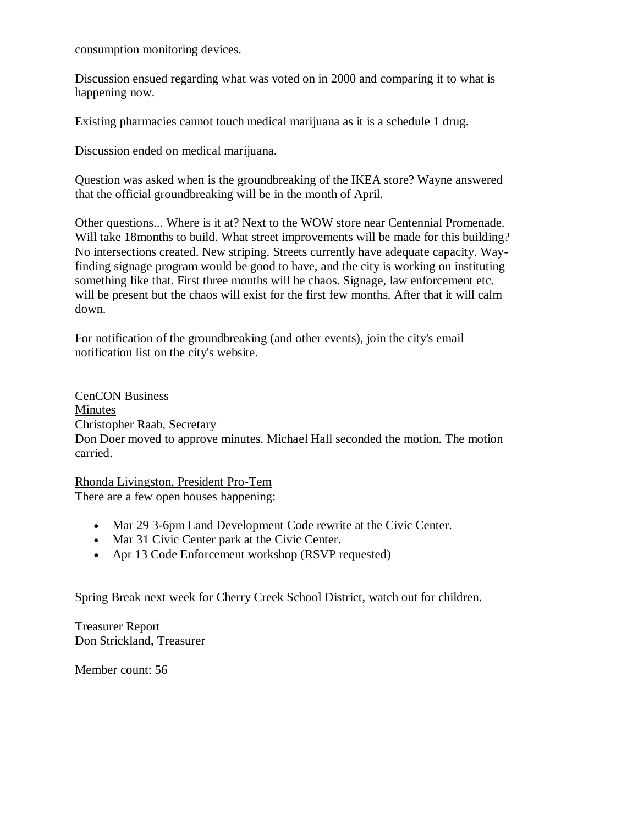consumption monitoring devices.

Discussion ensued regarding what was voted on in 2000 and comparing it to what is happening now.

Existing pharmacies cannot touch medical marijuana as it is a schedule 1 drug.

Discussion ended on medical marijuana.

Question was asked when is the groundbreaking of the IKEA store? Wayne answered that the official groundbreaking will be in the month of April.

Other questions... Where is it at? Next to the WOW store near Centennial Promenade. Will take 18 months to build. What street improvements will be made for this building? No intersections created. New striping. Streets currently have adequate capacity. Wayfinding signage program would be good to have, and the city is working on instituting something like that. First three months will be chaos. Signage, law enforcement etc. will be present but the chaos will exist for the first few months. After that it will calm down.

For notification of the groundbreaking (and other events), join the city's email notification list on the city's website.

CenCON Business Minutes Christopher Raab, Secretary Don Doer moved to approve minutes. Michael Hall seconded the motion. The motion carried.

Rhonda Livingston, President Pro-Tem There are a few open houses happening:

- Mar 29 3-6pm Land Development Code rewrite at the Civic Center.
- Mar 31 Civic Center park at the Civic Center.
- Apr 13 Code Enforcement workshop (RSVP requested)

Spring Break next week for Cherry Creek School District, watch out for children.

Treasurer Report Don Strickland, Treasurer

Member count: 56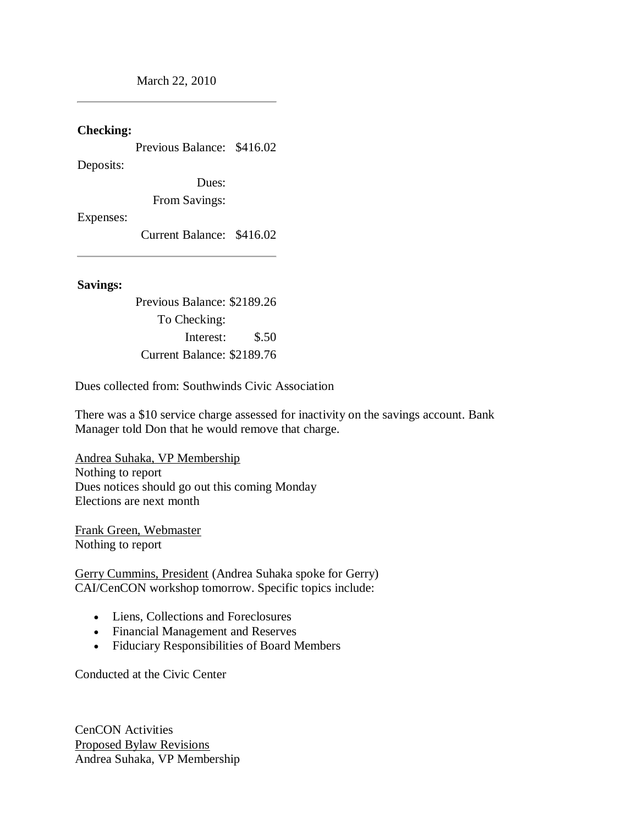March 22, 2010

### **Checking:**

Previous Balance: \$416.02

Deposits:

Dues:

From Savings:

Expenses:

Current Balance: \$416.02

## **Savings:**

Previous Balance: \$2189.26 To Checking: Interest: \$.50 Current Balance: \$2189.76

Dues collected from: Southwinds Civic Association

There was a \$10 service charge assessed for inactivity on the savings account. Bank Manager told Don that he would remove that charge.

Andrea Suhaka, VP Membership Nothing to report Dues notices should go out this coming Monday Elections are next month

Frank Green, Webmaster Nothing to report

Gerry Cummins, President (Andrea Suhaka spoke for Gerry) CAI/CenCON workshop tomorrow. Specific topics include:

- Liens, Collections and Foreclosures
- Financial Management and Reserves
- Fiduciary Responsibilities of Board Members

Conducted at the Civic Center

CenCON Activities Proposed Bylaw Revisions Andrea Suhaka, VP Membership